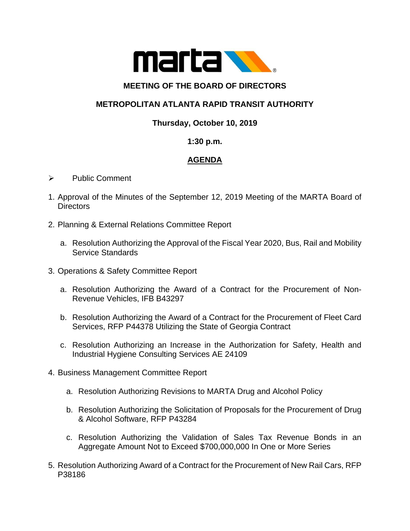

### **MEETING OF THE BOARD OF DIRECTORS**

# **METROPOLITAN ATLANTA RAPID TRANSIT AUTHORITY**

### **Thursday, October 10, 2019**

#### **1:30 p.m.**

# **AGENDA**

- ➢ Public Comment
- 1. Approval of the Minutes of the September 12, 2019 Meeting of the MARTA Board of **Directors**
- 2. Planning & External Relations Committee Report
	- a. Resolution Authorizing the Approval of the Fiscal Year 2020, Bus, Rail and Mobility Service Standards
- 3. Operations & Safety Committee Report
	- a. Resolution Authorizing the Award of a Contract for the Procurement of Non-Revenue Vehicles, IFB B43297
	- b. Resolution Authorizing the Award of a Contract for the Procurement of Fleet Card Services, RFP P44378 Utilizing the State of Georgia Contract
	- c. Resolution Authorizing an Increase in the Authorization for Safety, Health and Industrial Hygiene Consulting Services AE 24109
- 4. Business Management Committee Report
	- a. Resolution Authorizing Revisions to MARTA Drug and Alcohol Policy
	- b. Resolution Authorizing the Solicitation of Proposals for the Procurement of Drug & Alcohol Software, RFP P43284
	- c. Resolution Authorizing the Validation of Sales Tax Revenue Bonds in an Aggregate Amount Not to Exceed \$700,000,000 In One or More Series
- 5. Resolution Authorizing Award of a Contract for the Procurement of New Rail Cars, RFP P38186